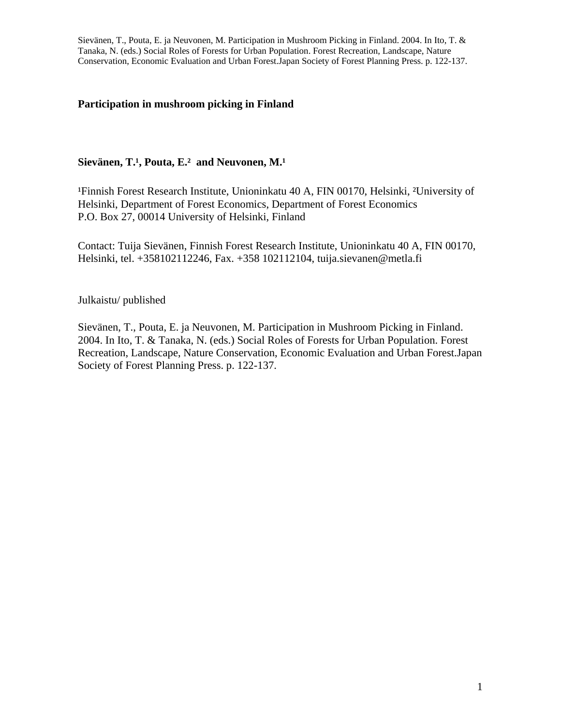## **Participation in mushroom picking in Finland**

## Sievänen, T.<sup>1</sup>, Pouta, E.<sup>2</sup> and Neuvonen, M.<sup>1</sup>

<sup>1</sup>Finnish Forest Research Institute, Unioninkatu 40 A, FIN 00170, Helsinki, <sup>2</sup>University of Helsinki, Department of Forest Economics, Department of Forest Economics P.O. Box 27, 00014 University of Helsinki, Finland

Contact: Tuija Sievänen, Finnish Forest Research Institute, Unioninkatu 40 A, FIN 00170, Helsinki, tel. +358102112246, Fax. +358 102112104, tuija.sievanen@metla.fi

Julkaistu/ published

Sievänen, T., Pouta, E. ja Neuvonen, M. Participation in Mushroom Picking in Finland. 2004. In Ito, T. & Tanaka, N. (eds.) Social Roles of Forests for Urban Population. Forest Recreation, Landscape, Nature Conservation, Economic Evaluation and Urban Forest.Japan Society of Forest Planning Press. p. 122-137.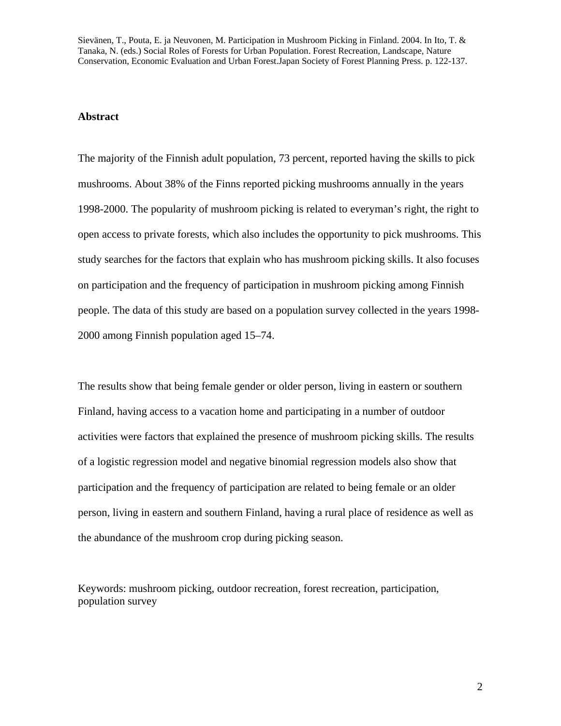#### **Abstract**

The majority of the Finnish adult population, 73 percent, reported having the skills to pick mushrooms. About 38% of the Finns reported picking mushrooms annually in the years 1998-2000. The popularity of mushroom picking is related to everyman's right, the right to open access to private forests, which also includes the opportunity to pick mushrooms. This study searches for the factors that explain who has mushroom picking skills. It also focuses on participation and the frequency of participation in mushroom picking among Finnish people. The data of this study are based on a population survey collected in the years 1998- 2000 among Finnish population aged 15–74.

The results show that being female gender or older person, living in eastern or southern Finland, having access to a vacation home and participating in a number of outdoor activities were factors that explained the presence of mushroom picking skills. The results of a logistic regression model and negative binomial regression models also show that participation and the frequency of participation are related to being female or an older person, living in eastern and southern Finland, having a rural place of residence as well as the abundance of the mushroom crop during picking season.

Keywords: mushroom picking, outdoor recreation, forest recreation, participation, population survey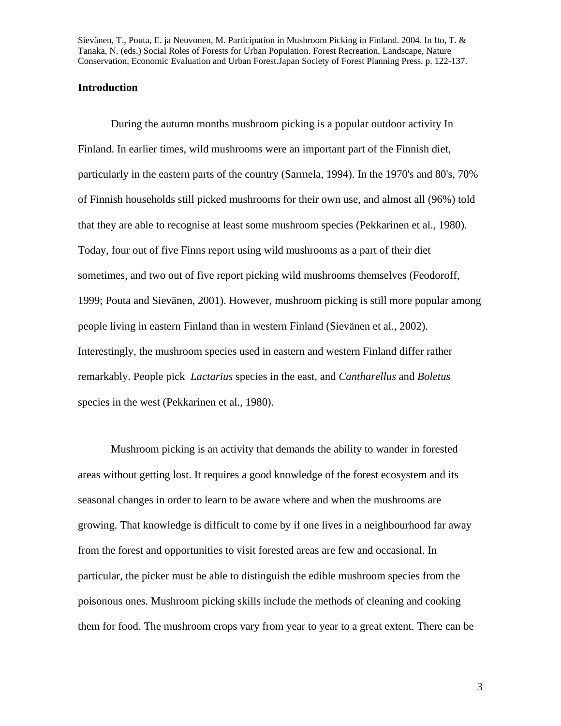### **Introduction**

During the autumn months mushroom picking is a popular outdoor activity In Finland. In earlier times, wild mushrooms were an important part of the Finnish diet, particularly in the eastern parts of the country (Sarmela, 1994). In the 1970's and 80's, 70% of Finnish households still picked mushrooms for their own use, and almost all (96%) told that they are able to recognise at least some mushroom species (Pekkarinen et al., 1980). Today, four out of five Finns report using wild mushrooms as a part of their diet sometimes, and two out of five report picking wild mushrooms themselves (Feodoroff, 1999; Pouta and Sievänen, 2001). However, mushroom picking is still more popular among people living in eastern Finland than in western Finland (Sievänen et al., 2002). Interestingly, the mushroom species used in eastern and western Finland differ rather remarkably. People pick *Lactarius* species in the east, and *Cantharellus* and *Boletus* species in the west (Pekkarinen et al., 1980).

Mushroom picking is an activity that demands the ability to wander in forested areas without getting lost. It requires a good knowledge of the forest ecosystem and its seasonal changes in order to learn to be aware where and when the mushrooms are growing. That knowledge is difficult to come by if one lives in a neighbourhood far away from the forest and opportunities to visit forested areas are few and occasional. In particular, the picker must be able to distinguish the edible mushroom species from the poisonous ones. Mushroom picking skills include the methods of cleaning and cooking them for food. The mushroom crops vary from year to year to a great extent. There can be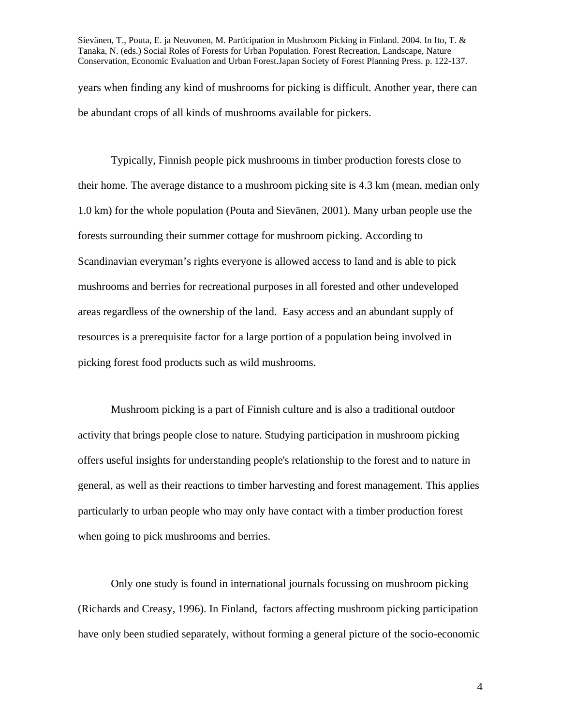Sievänen, T., Pouta, E. ja Neuvonen, M. Participation in Mushroom Picking in Finland. 2004. In Ito, T. & Tanaka, N. (eds.) Social Roles of Forests for Urban Population. Forest Recreation, Landscape, Nature Conservation, Economic Evaluation and Urban Forest.Japan Society of Forest Planning Press. p. 122-137. years when finding any kind of mushrooms for picking is difficult. Another year, there can be abundant crops of all kinds of mushrooms available for pickers.

Typically, Finnish people pick mushrooms in timber production forests close to their home. The average distance to a mushroom picking site is 4.3 km (mean, median only 1.0 km) for the whole population (Pouta and Sievänen, 2001). Many urban people use the forests surrounding their summer cottage for mushroom picking. According to Scandinavian everyman's rights everyone is allowed access to land and is able to pick mushrooms and berries for recreational purposes in all forested and other undeveloped areas regardless of the ownership of the land. Easy access and an abundant supply of resources is a prerequisite factor for a large portion of a population being involved in picking forest food products such as wild mushrooms.

Mushroom picking is a part of Finnish culture and is also a traditional outdoor activity that brings people close to nature. Studying participation in mushroom picking offers useful insights for understanding people's relationship to the forest and to nature in general, as well as their reactions to timber harvesting and forest management. This applies particularly to urban people who may only have contact with a timber production forest when going to pick mushrooms and berries.

Only one study is found in international journals focussing on mushroom picking (Richards and Creasy, 1996). In Finland, factors affecting mushroom picking participation have only been studied separately, without forming a general picture of the socio-economic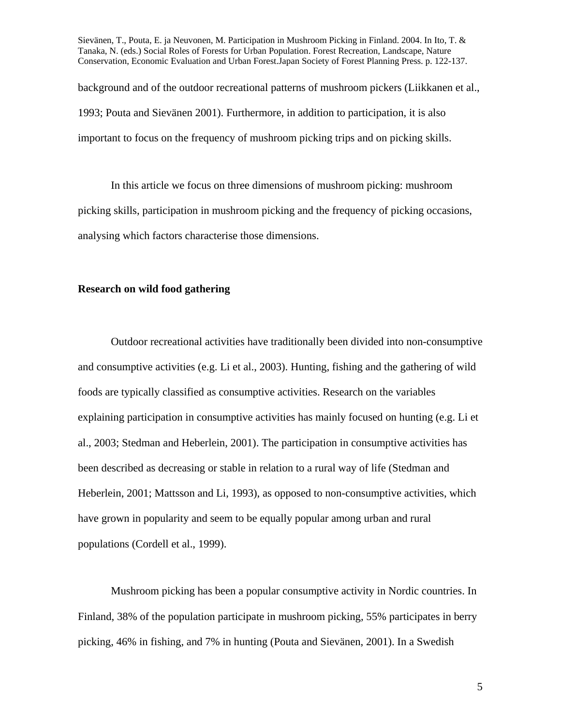background and of the outdoor recreational patterns of mushroom pickers (Liikkanen et al., 1993; Pouta and Sievänen 2001). Furthermore, in addition to participation, it is also important to focus on the frequency of mushroom picking trips and on picking skills.

In this article we focus on three dimensions of mushroom picking: mushroom picking skills, participation in mushroom picking and the frequency of picking occasions, analysing which factors characterise those dimensions.

#### **Research on wild food gathering**

Outdoor recreational activities have traditionally been divided into non-consumptive and consumptive activities (e.g. Li et al., 2003). Hunting, fishing and the gathering of wild foods are typically classified as consumptive activities. Research on the variables explaining participation in consumptive activities has mainly focused on hunting (e.g. Li et al., 2003; Stedman and Heberlein, 2001). The participation in consumptive activities has been described as decreasing or stable in relation to a rural way of life (Stedman and Heberlein, 2001; Mattsson and Li, 1993), as opposed to non-consumptive activities, which have grown in popularity and seem to be equally popular among urban and rural populations (Cordell et al., 1999).

Mushroom picking has been a popular consumptive activity in Nordic countries. In Finland, 38% of the population participate in mushroom picking, 55% participates in berry picking, 46% in fishing, and 7% in hunting (Pouta and Sievänen, 2001). In a Swedish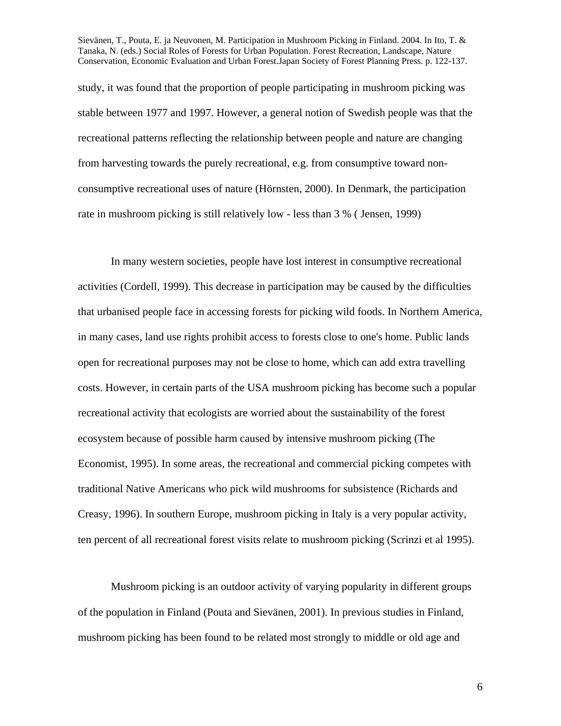study, it was found that the proportion of people participating in mushroom picking was stable between 1977 and 1997. However, a general notion of Swedish people was that the recreational patterns reflecting the relationship between people and nature are changing from harvesting towards the purely recreational, e.g. from consumptive toward nonconsumptive recreational uses of nature (Hörnsten, 2000). In Denmark, the participation rate in mushroom picking is still relatively low - less than 3 % ( Jensen, 1999)

In many western societies, people have lost interest in consumptive recreational activities (Cordell, 1999). This decrease in participation may be caused by the difficulties that urbanised people face in accessing forests for picking wild foods. In Northern America, in many cases, land use rights prohibit access to forests close to one's home. Public lands open for recreational purposes may not be close to home, which can add extra travelling costs. However, in certain parts of the USA mushroom picking has become such a popular recreational activity that ecologists are worried about the sustainability of the forest ecosystem because of possible harm caused by intensive mushroom picking (The Economist, 1995). In some areas, the recreational and commercial picking competes with traditional Native Americans who pick wild mushrooms for subsistence (Richards and Creasy, 1996). In southern Europe, mushroom picking in Italy is a very popular activity, ten percent of all recreational forest visits relate to mushroom picking (Scrinzi et al 1995).

Mushroom picking is an outdoor activity of varying popularity in different groups of the population in Finland (Pouta and Sievänen, 2001). In previous studies in Finland, mushroom picking has been found to be related most strongly to middle or old age and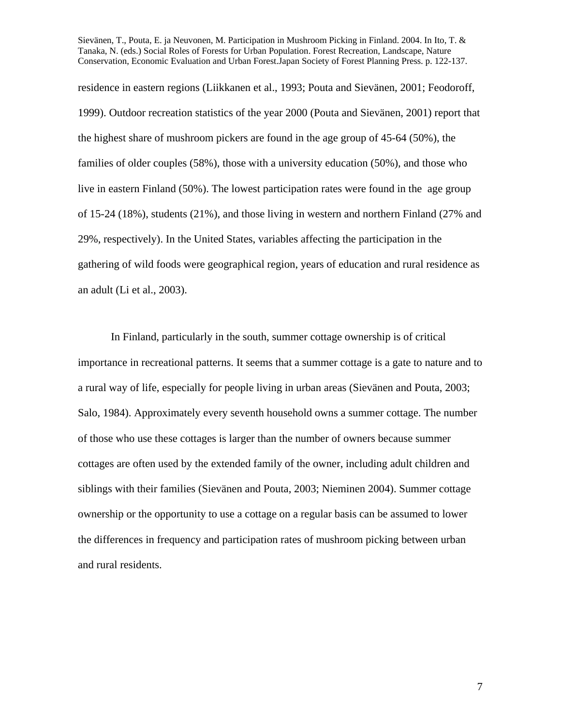residence in eastern regions (Liikkanen et al., 1993; Pouta and Sievänen, 2001; Feodoroff, 1999). Outdoor recreation statistics of the year 2000 (Pouta and Sievänen, 2001) report that the highest share of mushroom pickers are found in the age group of 45-64 (50%), the families of older couples (58%), those with a university education (50%), and those who live in eastern Finland (50%). The lowest participation rates were found in the age group of 15-24 (18%), students (21%), and those living in western and northern Finland (27% and 29%, respectively). In the United States, variables affecting the participation in the gathering of wild foods were geographical region, years of education and rural residence as an adult (Li et al., 2003).

In Finland, particularly in the south, summer cottage ownership is of critical importance in recreational patterns. It seems that a summer cottage is a gate to nature and to a rural way of life, especially for people living in urban areas (Sievänen and Pouta, 2003; Salo, 1984). Approximately every seventh household owns a summer cottage. The number of those who use these cottages is larger than the number of owners because summer cottages are often used by the extended family of the owner, including adult children and siblings with their families (Sievänen and Pouta, 2003; Nieminen 2004). Summer cottage ownership or the opportunity to use a cottage on a regular basis can be assumed to lower the differences in frequency and participation rates of mushroom picking between urban and rural residents.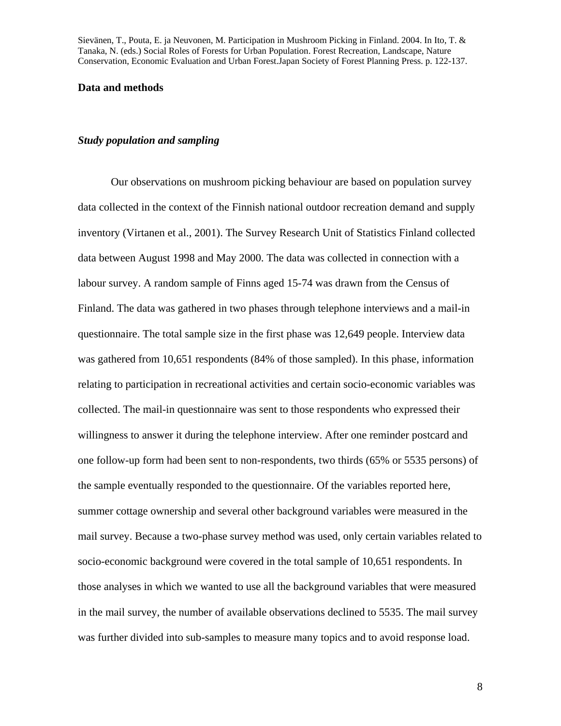#### **Data and methods**

#### *Study population and sampling*

Our observations on mushroom picking behaviour are based on population survey data collected in the context of the Finnish national outdoor recreation demand and supply inventory (Virtanen et al., 2001). The Survey Research Unit of Statistics Finland collected data between August 1998 and May 2000. The data was collected in connection with a labour survey. A random sample of Finns aged 15-74 was drawn from the Census of Finland. The data was gathered in two phases through telephone interviews and a mail-in questionnaire. The total sample size in the first phase was 12,649 people. Interview data was gathered from 10,651 respondents (84% of those sampled). In this phase, information relating to participation in recreational activities and certain socio-economic variables was collected. The mail-in questionnaire was sent to those respondents who expressed their willingness to answer it during the telephone interview. After one reminder postcard and one follow-up form had been sent to non-respondents, two thirds (65% or 5535 persons) of the sample eventually responded to the questionnaire. Of the variables reported here, summer cottage ownership and several other background variables were measured in the mail survey. Because a two-phase survey method was used, only certain variables related to socio-economic background were covered in the total sample of 10,651 respondents. In those analyses in which we wanted to use all the background variables that were measured in the mail survey, the number of available observations declined to 5535. The mail survey was further divided into sub-samples to measure many topics and to avoid response load.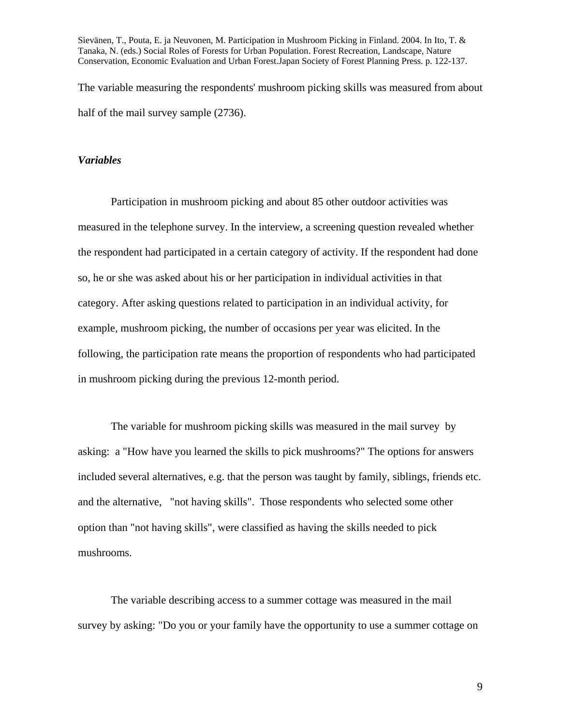Sievänen, T., Pouta, E. ja Neuvonen, M. Participation in Mushroom Picking in Finland. 2004. In Ito, T. & Tanaka, N. (eds.) Social Roles of Forests for Urban Population. Forest Recreation, Landscape, Nature Conservation, Economic Evaluation and Urban Forest.Japan Society of Forest Planning Press. p. 122-137. The variable measuring the respondents' mushroom picking skills was measured from about

half of the mail survey sample (2736).

#### *Variables*

Participation in mushroom picking and about 85 other outdoor activities was measured in the telephone survey. In the interview, a screening question revealed whether the respondent had participated in a certain category of activity. If the respondent had done so, he or she was asked about his or her participation in individual activities in that category. After asking questions related to participation in an individual activity, for example, mushroom picking, the number of occasions per year was elicited. In the following, the participation rate means the proportion of respondents who had participated in mushroom picking during the previous 12-month period.

The variable for mushroom picking skills was measured in the mail survey by asking: a "How have you learned the skills to pick mushrooms?" The options for answers included several alternatives, e.g. that the person was taught by family, siblings, friends etc. and the alternative, "not having skills". Those respondents who selected some other option than "not having skills", were classified as having the skills needed to pick mushrooms.

The variable describing access to a summer cottage was measured in the mail survey by asking: "Do you or your family have the opportunity to use a summer cottage on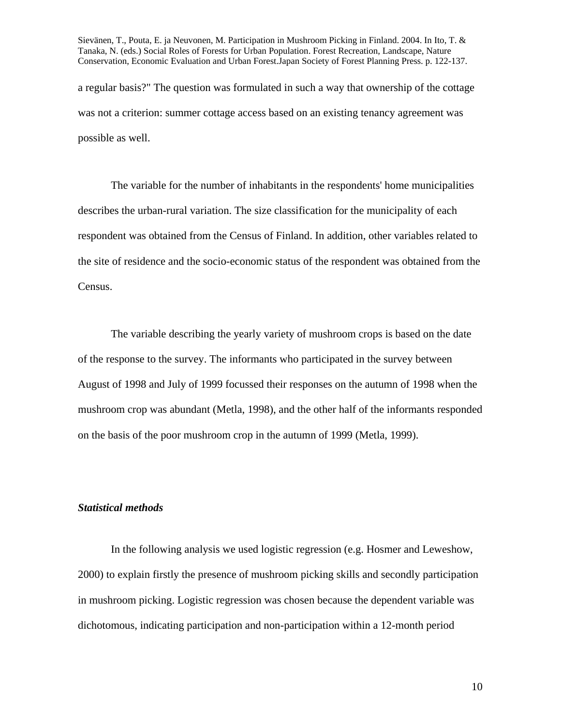Sievänen, T., Pouta, E. ja Neuvonen, M. Participation in Mushroom Picking in Finland. 2004. In Ito, T. & Tanaka, N. (eds.) Social Roles of Forests for Urban Population. Forest Recreation, Landscape, Nature Conservation, Economic Evaluation and Urban Forest.Japan Society of Forest Planning Press. p. 122-137. a regular basis?" The question was formulated in such a way that ownership of the cottage was not a criterion: summer cottage access based on an existing tenancy agreement was possible as well.

The variable for the number of inhabitants in the respondents' home municipalities describes the urban-rural variation. The size classification for the municipality of each respondent was obtained from the Census of Finland. In addition, other variables related to the site of residence and the socio-economic status of the respondent was obtained from the Census.

The variable describing the yearly variety of mushroom crops is based on the date of the response to the survey. The informants who participated in the survey between August of 1998 and July of 1999 focussed their responses on the autumn of 1998 when the mushroom crop was abundant (Metla, 1998), and the other half of the informants responded on the basis of the poor mushroom crop in the autumn of 1999 (Metla, 1999).

#### *Statistical methods*

In the following analysis we used logistic regression (e.g. Hosmer and Leweshow, 2000) to explain firstly the presence of mushroom picking skills and secondly participation in mushroom picking. Logistic regression was chosen because the dependent variable was dichotomous, indicating participation and non-participation within a 12-month period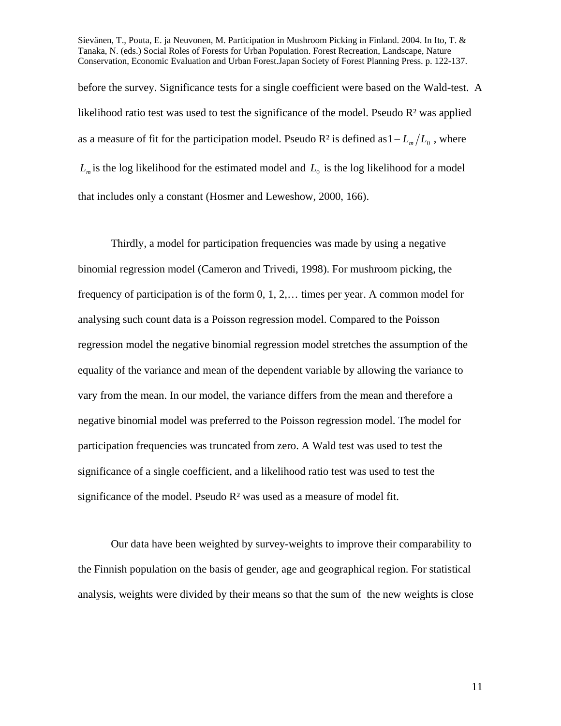Sievänen, T., Pouta, E. ja Neuvonen, M. Participation in Mushroom Picking in Finland. 2004. In Ito, T. & Tanaka, N. (eds.) Social Roles of Forests for Urban Population. Forest Recreation, Landscape, Nature Conservation, Economic Evaluation and Urban Forest.Japan Society of Forest Planning Press. p. 122-137. before the survey. Significance tests for a single coefficient were based on the Wald-test. A likelihood ratio test was used to test the significance of the model. Pseudo R<sup>2</sup> was applied as a measure of fit for the participation model. Pseudo R<sup>2</sup> is defined as  $1 - L_m/L_0$ , where

 $L_m$  is the log likelihood for the estimated model and  $L_0$  is the log likelihood for a model that includes only a constant (Hosmer and Leweshow, 2000, 166).

Thirdly, a model for participation frequencies was made by using a negative binomial regression model (Cameron and Trivedi, 1998). For mushroom picking, the frequency of participation is of the form 0, 1, 2,… times per year. A common model for analysing such count data is a Poisson regression model. Compared to the Poisson regression model the negative binomial regression model stretches the assumption of the equality of the variance and mean of the dependent variable by allowing the variance to vary from the mean. In our model, the variance differs from the mean and therefore a negative binomial model was preferred to the Poisson regression model. The model for participation frequencies was truncated from zero. A Wald test was used to test the significance of a single coefficient, and a likelihood ratio test was used to test the significance of the model. Pseudo  $R<sup>2</sup>$  was used as a measure of model fit.

Our data have been weighted by survey-weights to improve their comparability to the Finnish population on the basis of gender, age and geographical region. For statistical analysis, weights were divided by their means so that the sum of the new weights is close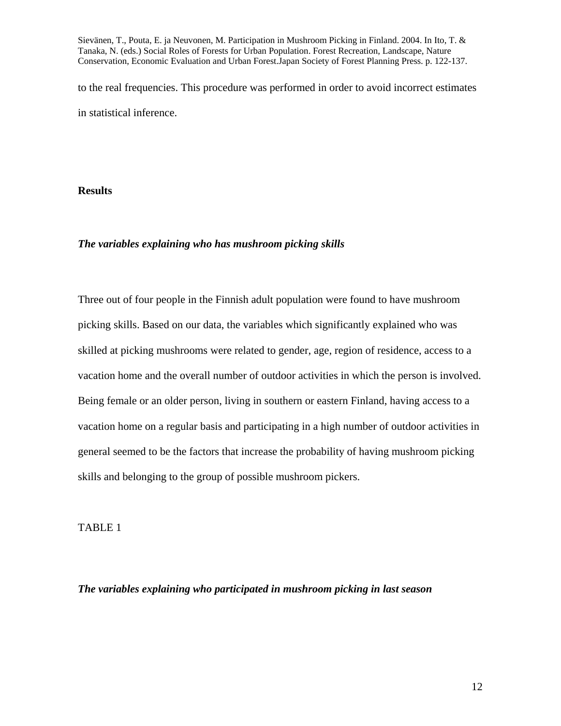to the real frequencies. This procedure was performed in order to avoid incorrect estimates in statistical inference.

**Results** 

### *The variables explaining who has mushroom picking skills*

Three out of four people in the Finnish adult population were found to have mushroom picking skills. Based on our data, the variables which significantly explained who was skilled at picking mushrooms were related to gender, age, region of residence, access to a vacation home and the overall number of outdoor activities in which the person is involved. Being female or an older person, living in southern or eastern Finland, having access to a vacation home on a regular basis and participating in a high number of outdoor activities in general seemed to be the factors that increase the probability of having mushroom picking skills and belonging to the group of possible mushroom pickers.

TABLE 1

*The variables explaining who participated in mushroom picking in last season*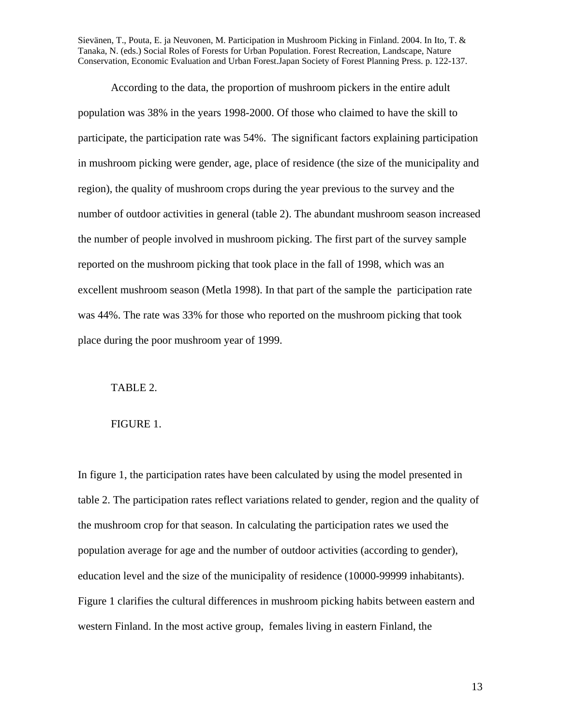According to the data, the proportion of mushroom pickers in the entire adult population was 38% in the years 1998-2000. Of those who claimed to have the skill to participate, the participation rate was 54%. The significant factors explaining participation in mushroom picking were gender, age, place of residence (the size of the municipality and region), the quality of mushroom crops during the year previous to the survey and the number of outdoor activities in general (table 2). The abundant mushroom season increased the number of people involved in mushroom picking. The first part of the survey sample reported on the mushroom picking that took place in the fall of 1998, which was an excellent mushroom season (Metla 1998). In that part of the sample the participation rate was 44%. The rate was 33% for those who reported on the mushroom picking that took place during the poor mushroom year of 1999.

## TABLE 2.

#### FIGURE 1.

In figure 1, the participation rates have been calculated by using the model presented in table 2. The participation rates reflect variations related to gender, region and the quality of the mushroom crop for that season. In calculating the participation rates we used the population average for age and the number of outdoor activities (according to gender), education level and the size of the municipality of residence (10000-99999 inhabitants). Figure 1 clarifies the cultural differences in mushroom picking habits between eastern and western Finland. In the most active group, females living in eastern Finland, the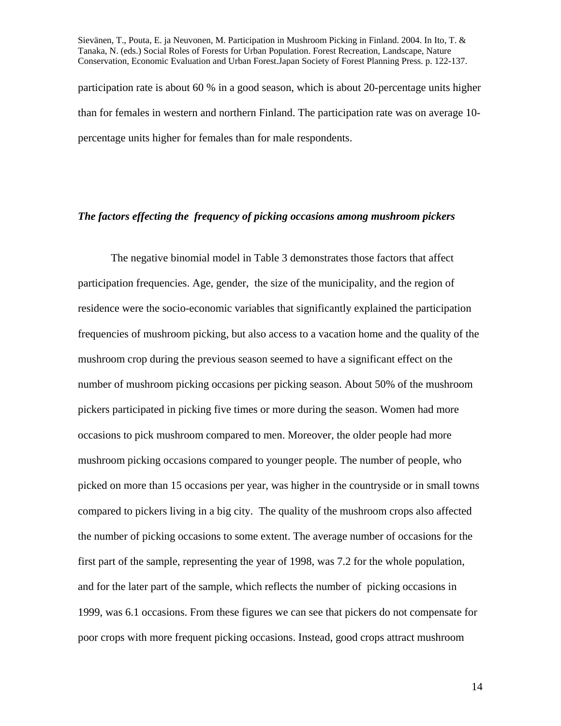Sievänen, T., Pouta, E. ja Neuvonen, M. Participation in Mushroom Picking in Finland. 2004. In Ito, T. & Tanaka, N. (eds.) Social Roles of Forests for Urban Population. Forest Recreation, Landscape, Nature Conservation, Economic Evaluation and Urban Forest.Japan Society of Forest Planning Press. p. 122-137. participation rate is about 60 % in a good season, which is about 20-percentage units higher than for females in western and northern Finland. The participation rate was on average 10 percentage units higher for females than for male respondents.

#### *The factors effecting the frequency of picking occasions among mushroom pickers*

The negative binomial model in Table 3 demonstrates those factors that affect participation frequencies. Age, gender, the size of the municipality, and the region of residence were the socio-economic variables that significantly explained the participation frequencies of mushroom picking, but also access to a vacation home and the quality of the mushroom crop during the previous season seemed to have a significant effect on the number of mushroom picking occasions per picking season. About 50% of the mushroom pickers participated in picking five times or more during the season. Women had more occasions to pick mushroom compared to men. Moreover, the older people had more mushroom picking occasions compared to younger people. The number of people, who picked on more than 15 occasions per year, was higher in the countryside or in small towns compared to pickers living in a big city. The quality of the mushroom crops also affected the number of picking occasions to some extent. The average number of occasions for the first part of the sample, representing the year of 1998, was 7.2 for the whole population, and for the later part of the sample, which reflects the number of picking occasions in 1999, was 6.1 occasions. From these figures we can see that pickers do not compensate for poor crops with more frequent picking occasions. Instead, good crops attract mushroom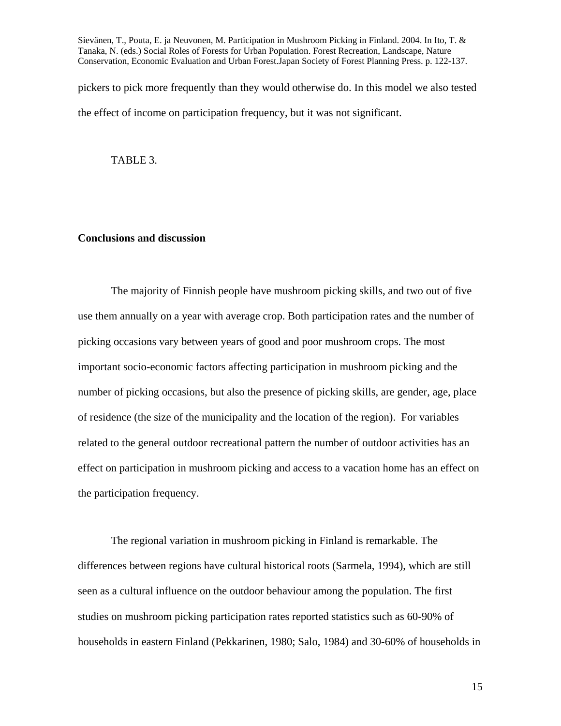pickers to pick more frequently than they would otherwise do. In this model we also tested the effect of income on participation frequency, but it was not significant.

TABLE 3.

## **Conclusions and discussion**

The majority of Finnish people have mushroom picking skills, and two out of five use them annually on a year with average crop. Both participation rates and the number of picking occasions vary between years of good and poor mushroom crops. The most important socio-economic factors affecting participation in mushroom picking and the number of picking occasions, but also the presence of picking skills, are gender, age, place of residence (the size of the municipality and the location of the region). For variables related to the general outdoor recreational pattern the number of outdoor activities has an effect on participation in mushroom picking and access to a vacation home has an effect on the participation frequency.

The regional variation in mushroom picking in Finland is remarkable. The differences between regions have cultural historical roots (Sarmela, 1994), which are still seen as a cultural influence on the outdoor behaviour among the population. The first studies on mushroom picking participation rates reported statistics such as 60-90% of households in eastern Finland (Pekkarinen, 1980; Salo, 1984) and 30-60% of households in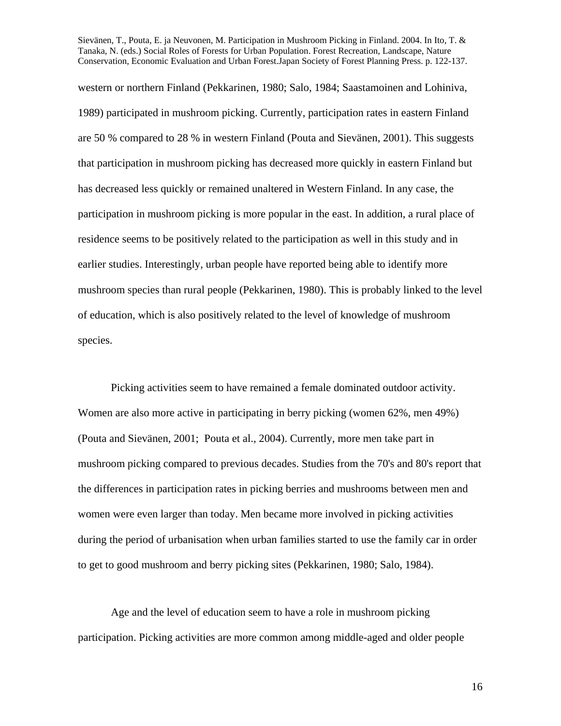western or northern Finland (Pekkarinen, 1980; Salo, 1984; Saastamoinen and Lohiniva, 1989) participated in mushroom picking. Currently, participation rates in eastern Finland are 50 % compared to 28 % in western Finland (Pouta and Sievänen, 2001). This suggests that participation in mushroom picking has decreased more quickly in eastern Finland but has decreased less quickly or remained unaltered in Western Finland. In any case, the participation in mushroom picking is more popular in the east. In addition, a rural place of residence seems to be positively related to the participation as well in this study and in earlier studies. Interestingly, urban people have reported being able to identify more mushroom species than rural people (Pekkarinen, 1980). This is probably linked to the level of education, which is also positively related to the level of knowledge of mushroom species.

Picking activities seem to have remained a female dominated outdoor activity. Women are also more active in participating in berry picking (women 62%, men 49%) (Pouta and Sievänen, 2001; Pouta et al., 2004). Currently, more men take part in mushroom picking compared to previous decades. Studies from the 70's and 80's report that the differences in participation rates in picking berries and mushrooms between men and women were even larger than today. Men became more involved in picking activities during the period of urbanisation when urban families started to use the family car in order to get to good mushroom and berry picking sites (Pekkarinen, 1980; Salo, 1984).

Age and the level of education seem to have a role in mushroom picking participation. Picking activities are more common among middle-aged and older people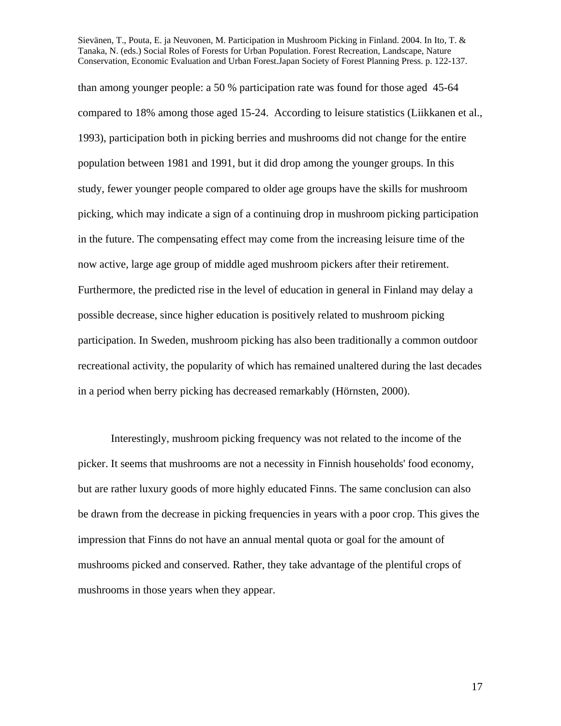than among younger people: a 50 % participation rate was found for those aged 45-64 compared to 18% among those aged 15-24. According to leisure statistics (Liikkanen et al., 1993), participation both in picking berries and mushrooms did not change for the entire population between 1981 and 1991, but it did drop among the younger groups. In this study, fewer younger people compared to older age groups have the skills for mushroom picking, which may indicate a sign of a continuing drop in mushroom picking participation in the future. The compensating effect may come from the increasing leisure time of the now active, large age group of middle aged mushroom pickers after their retirement. Furthermore, the predicted rise in the level of education in general in Finland may delay a possible decrease, since higher education is positively related to mushroom picking participation. In Sweden, mushroom picking has also been traditionally a common outdoor recreational activity, the popularity of which has remained unaltered during the last decades in a period when berry picking has decreased remarkably (Hörnsten, 2000).

Interestingly, mushroom picking frequency was not related to the income of the picker. It seems that mushrooms are not a necessity in Finnish households' food economy, but are rather luxury goods of more highly educated Finns. The same conclusion can also be drawn from the decrease in picking frequencies in years with a poor crop. This gives the impression that Finns do not have an annual mental quota or goal for the amount of mushrooms picked and conserved. Rather, they take advantage of the plentiful crops of mushrooms in those years when they appear.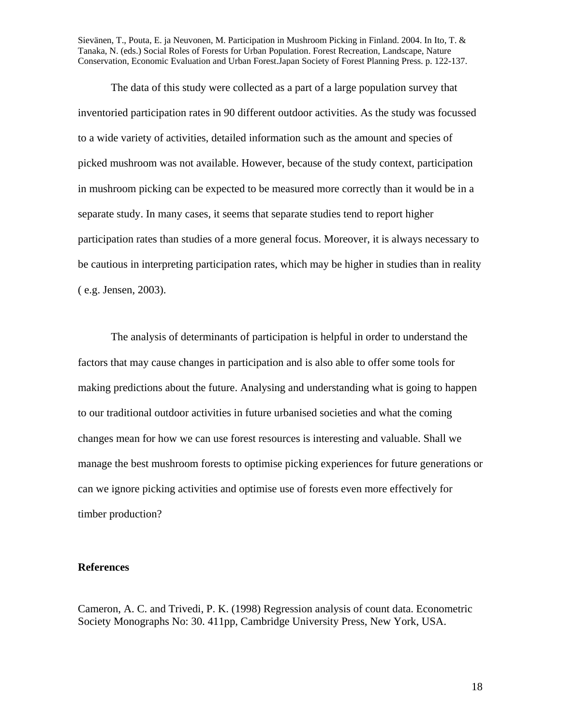The data of this study were collected as a part of a large population survey that inventoried participation rates in 90 different outdoor activities. As the study was focussed to a wide variety of activities, detailed information such as the amount and species of picked mushroom was not available. However, because of the study context, participation in mushroom picking can be expected to be measured more correctly than it would be in a separate study. In many cases, it seems that separate studies tend to report higher participation rates than studies of a more general focus. Moreover, it is always necessary to be cautious in interpreting participation rates, which may be higher in studies than in reality ( e.g. Jensen, 2003).

The analysis of determinants of participation is helpful in order to understand the factors that may cause changes in participation and is also able to offer some tools for making predictions about the future. Analysing and understanding what is going to happen to our traditional outdoor activities in future urbanised societies and what the coming changes mean for how we can use forest resources is interesting and valuable. Shall we manage the best mushroom forests to optimise picking experiences for future generations or can we ignore picking activities and optimise use of forests even more effectively for timber production?

# **References**

Cameron, A. C. and Trivedi, P. K. (1998) Regression analysis of count data. Econometric Society Monographs No: 30. 411pp, Cambridge University Press, New York, USA.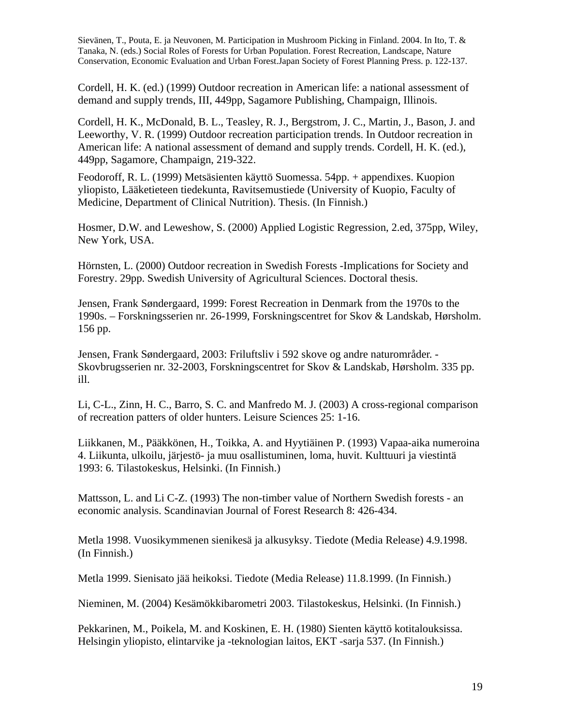Cordell, H. K. (ed.) (1999) Outdoor recreation in American life: a national assessment of demand and supply trends, III, 449pp, Sagamore Publishing, Champaign, Illinois.

Cordell, H. K., McDonald, B. L., Teasley, R. J., Bergstrom, J. C., Martin, J., Bason, J. and Leeworthy, V. R. (1999) Outdoor recreation participation trends. In Outdoor recreation in American life: A national assessment of demand and supply trends. Cordell, H. K. (ed.), 449pp, Sagamore, Champaign, 219-322.

Feodoroff, R. L. (1999) Metsäsienten käyttö Suomessa. 54pp. + appendixes. Kuopion yliopisto, Lääketieteen tiedekunta, Ravitsemustiede (University of Kuopio, Faculty of Medicine, Department of Clinical Nutrition). Thesis. (In Finnish.)

Hosmer, D.W. and Leweshow, S. (2000) Applied Logistic Regression, 2.ed, 375pp, Wiley, New York, USA.

Hörnsten, L. (2000) Outdoor recreation in Swedish Forests -Implications for Society and Forestry. 29pp. Swedish University of Agricultural Sciences. Doctoral thesis.

Jensen, Frank Søndergaard, 1999: Forest Recreation in Denmark from the 1970s to the 1990s. – Forskningsserien nr. 26-1999, Forskningscentret for Skov & Landskab, Hørsholm. 156 pp.

Jensen, Frank Søndergaard, 2003: Friluftsliv i 592 skove og andre naturområder. - Skovbrugsserien nr. 32-2003, Forskningscentret for Skov & Landskab, Hørsholm. 335 pp. ill.

Li, C-L., Zinn, H. C., Barro, S. C. and Manfredo M. J. (2003) A cross-regional comparison of recreation patters of older hunters. Leisure Sciences 25: 1-16.

Liikkanen, M., Pääkkönen, H., Toikka, A. and Hyytiäinen P. (1993) Vapaa-aika numeroina 4. Liikunta, ulkoilu, järjestö- ja muu osallistuminen, loma, huvit. Kulttuuri ja viestintä 1993: 6. Tilastokeskus, Helsinki. (In Finnish.)

Mattsson, L. and Li C-Z. (1993) The non-timber value of Northern Swedish forests - an economic analysis. Scandinavian Journal of Forest Research 8: 426-434.

Metla 1998. Vuosikymmenen sienikesä ja alkusyksy. Tiedote (Media Release) 4.9.1998. (In Finnish.)

Metla 1999. Sienisato jää heikoksi. Tiedote (Media Release) 11.8.1999. (In Finnish.)

Nieminen, M. (2004) Kesämökkibarometri 2003. Tilastokeskus, Helsinki. (In Finnish.)

Pekkarinen, M., Poikela, M. and Koskinen, E. H. (1980) Sienten käyttö kotitalouksissa. Helsingin yliopisto, elintarvike ja -teknologian laitos, EKT -sarja 537. (In Finnish.)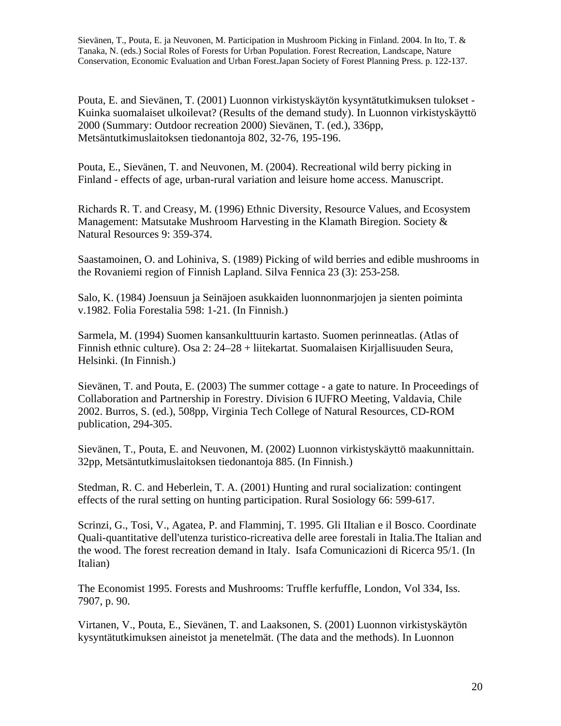Pouta, E. and Sievänen, T. (2001) Luonnon virkistyskäytön kysyntätutkimuksen tulokset - Kuinka suomalaiset ulkoilevat? (Results of the demand study). In Luonnon virkistyskäyttö 2000 (Summary: Outdoor recreation 2000) Sievänen, T. (ed.), 336pp, Metsäntutkimuslaitoksen tiedonantoja 802, 32-76, 195-196.

Pouta, E., Sievänen, T. and Neuvonen, M. (2004). Recreational wild berry picking in Finland - effects of age, urban-rural variation and leisure home access. Manuscript.

Richards R. T. and Creasy, M. (1996) Ethnic Diversity, Resource Values, and Ecosystem Management: Matsutake Mushroom Harvesting in the Klamath Biregion. Society & Natural Resources 9: 359-374.

Saastamoinen, O. and Lohiniva, S. (1989) Picking of wild berries and edible mushrooms in the Rovaniemi region of Finnish Lapland. Silva Fennica 23 (3): 253-258.

Salo, K. (1984) Joensuun ja Seinäjoen asukkaiden luonnonmarjojen ja sienten poiminta v.1982. Folia Forestalia 598: 1-21. (In Finnish.)

Sarmela, M. (1994) Suomen kansankulttuurin kartasto. Suomen perinneatlas. (Atlas of Finnish ethnic culture). Osa 2: 24–28 + liitekartat. Suomalaisen Kirjallisuuden Seura, Helsinki. (In Finnish.)

Sievänen, T. and Pouta, E. (2003) The summer cottage - a gate to nature. In Proceedings of Collaboration and Partnership in Forestry. Division 6 IUFRO Meeting, Valdavia, Chile 2002. Burros, S. (ed.), 508pp, Virginia Tech College of Natural Resources, CD-ROM publication, 294-305.

Sievänen, T., Pouta, E. and Neuvonen, M. (2002) Luonnon virkistyskäyttö maakunnittain. 32pp, Metsäntutkimuslaitoksen tiedonantoja 885. (In Finnish.)

Stedman, R. C. and Heberlein, T. A. (2001) Hunting and rural socialization: contingent effects of the rural setting on hunting participation. Rural Sosiology 66: 599-617.

Scrinzi, G., Tosi, V., Agatea, P. and Flamminj, T. 1995. Gli IItalian e il Bosco. Coordinate Quali-quantitative dell'utenza turistico-ricreativa delle aree forestali in Italia.The Italian and the wood. The forest recreation demand in Italy. Isafa Comunicazioni di Ricerca 95/1. (In Italian)

The Economist 1995. Forests and Mushrooms: Truffle kerfuffle, London, Vol 334, Iss. 7907, p. 90.

Virtanen, V., Pouta, E., Sievänen, T. and Laaksonen, S. (2001) Luonnon virkistyskäytön kysyntätutkimuksen aineistot ja menetelmät. (The data and the methods). In Luonnon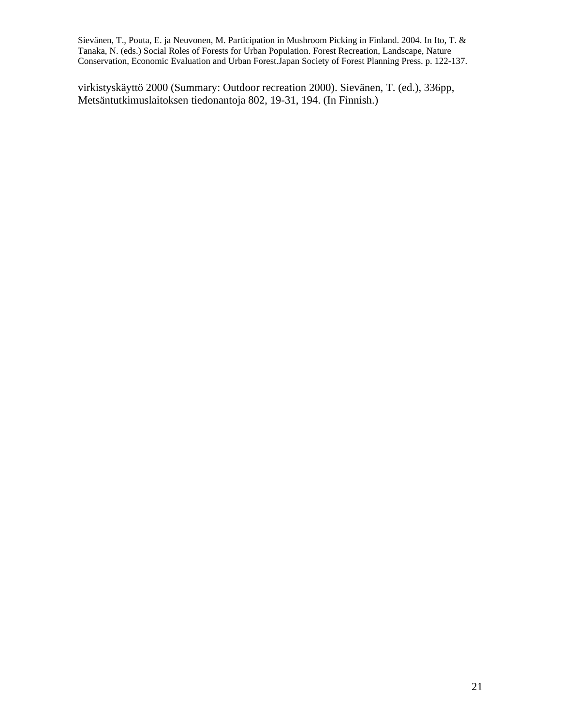virkistyskäyttö 2000 (Summary: Outdoor recreation 2000). Sievänen, T. (ed.), 336pp, Metsäntutkimuslaitoksen tiedonantoja 802, 19-31, 194. (In Finnish.)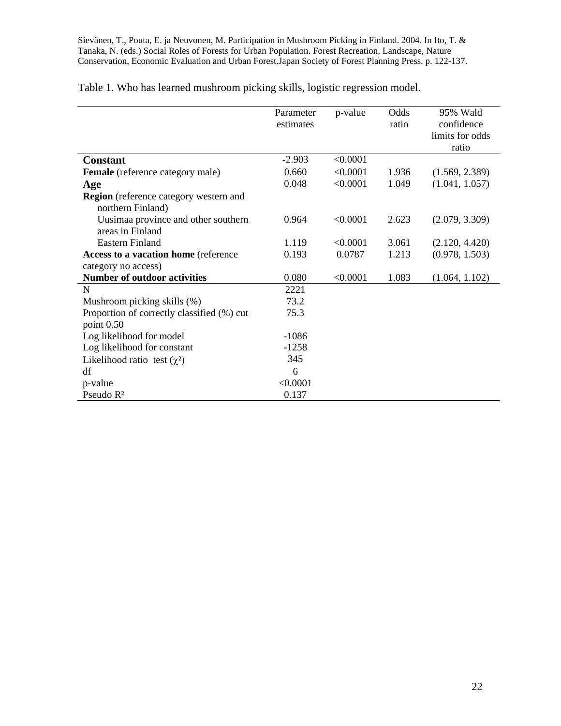|  |  | Table 1. Who has learned mushroom picking skills, logistic regression model. |  |  |  |
|--|--|------------------------------------------------------------------------------|--|--|--|
|  |  |                                                                              |  |  |  |

|                                               | Parameter | p-value  | Odds  | 95% Wald        |
|-----------------------------------------------|-----------|----------|-------|-----------------|
|                                               | estimates |          | ratio | confidence      |
|                                               |           |          |       | limits for odds |
|                                               |           |          |       | ratio           |
| <b>Constant</b>                               | $-2.903$  | < 0.0001 |       |                 |
| <b>Female</b> (reference category male)       | 0.660     | < 0.0001 | 1.936 | (1.569, 2.389)  |
| Age                                           | 0.048     | < 0.0001 | 1.049 | (1.041, 1.057)  |
| <b>Region</b> (reference category western and |           |          |       |                 |
| northern Finland)                             |           |          |       |                 |
| Uusimaa province and other southern           | 0.964     | < 0.0001 | 2.623 | (2.079, 3.309)  |
| areas in Finland                              |           |          |       |                 |
| <b>Eastern Finland</b>                        | 1.119     | < 0.0001 | 3.061 | (2.120, 4.420)  |
| Access to a vacation home (reference          | 0.193     | 0.0787   | 1.213 | (0.978, 1.503)  |
| category no access)                           |           |          |       |                 |
| <b>Number of outdoor activities</b>           | 0.080     | < 0.0001 | 1.083 | (1.064, 1.102)  |
| N                                             | 2221      |          |       |                 |
| Mushroom picking skills (%)                   | 73.2      |          |       |                 |
| Proportion of correctly classified (%) cut    | 75.3      |          |       |                 |
| point 0.50                                    |           |          |       |                 |
| Log likelihood for model                      | $-1086$   |          |       |                 |
| Log likelihood for constant                   | $-1258$   |          |       |                 |
| Likelihood ratio test $(\chi^2)$              | 345       |          |       |                 |
| df                                            | 6         |          |       |                 |
| p-value                                       | < 0.0001  |          |       |                 |
| Pseudo R <sup>2</sup>                         | 0.137     |          |       |                 |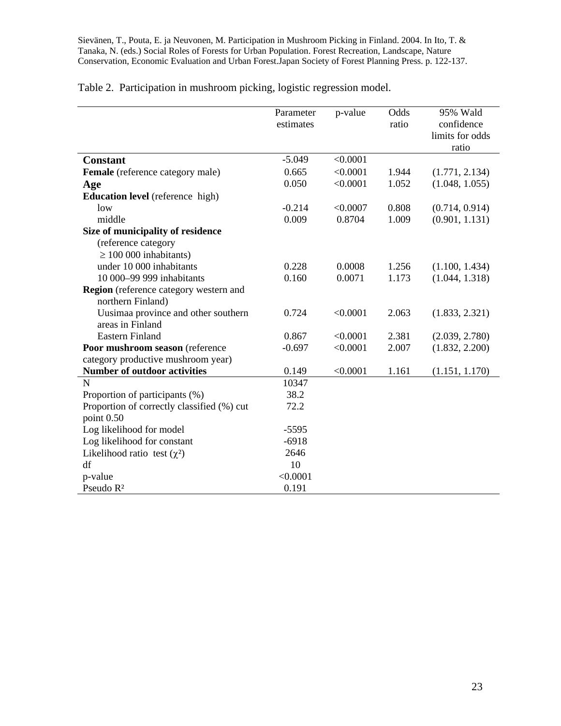|                                            | Parameter | p-value  | Odds  | 95% Wald        |
|--------------------------------------------|-----------|----------|-------|-----------------|
|                                            | estimates |          | ratio | confidence      |
|                                            |           |          |       | limits for odds |
|                                            |           |          |       | ratio           |
| <b>Constant</b>                            | $-5.049$  | < 0.0001 |       |                 |
| Female (reference category male)           | 0.665     | < 0.0001 | 1.944 | (1.771, 2.134)  |
| Age                                        | 0.050     | < 0.0001 | 1.052 | (1.048, 1.055)  |
| <b>Education level</b> (reference high)    |           |          |       |                 |
| low                                        | $-0.214$  | < 0.0007 | 0.808 | (0.714, 0.914)  |
| middle                                     | 0.009     | 0.8704   | 1.009 | (0.901, 1.131)  |
| Size of municipality of residence          |           |          |       |                 |
| (reference category                        |           |          |       |                 |
| $\geq 100000$ inhabitants)                 |           |          |       |                 |
| under 10 000 inhabitants                   | 0.228     | 0.0008   | 1.256 | (1.100, 1.434)  |
| 10 000-99 999 inhabitants                  | 0.160     | 0.0071   | 1.173 | (1.044, 1.318)  |
| Region (reference category western and     |           |          |       |                 |
| northern Finland)                          |           |          |       |                 |
| Uusimaa province and other southern        | 0.724     | < 0.0001 | 2.063 | (1.833, 2.321)  |
| areas in Finland                           |           |          |       |                 |
| <b>Eastern Finland</b>                     | 0.867     | < 0.0001 | 2.381 | (2.039, 2.780)  |
| Poor mushroom season (reference            | $-0.697$  | < 0.0001 | 2.007 | (1.832, 2.200)  |
| category productive mushroom year)         |           |          |       |                 |
| <b>Number of outdoor activities</b>        | 0.149     | < 0.0001 | 1.161 | (1.151, 1.170)  |
| N                                          | 10347     |          |       |                 |
| Proportion of participants (%)             | 38.2      |          |       |                 |
| Proportion of correctly classified (%) cut | 72.2      |          |       |                 |
| point 0.50                                 |           |          |       |                 |
| Log likelihood for model                   | $-5595$   |          |       |                 |
| Log likelihood for constant                | $-6918$   |          |       |                 |
| Likelihood ratio test $(\chi^2)$           | 2646      |          |       |                 |
| df                                         | 10        |          |       |                 |
| p-value                                    | < 0.0001  |          |       |                 |
| Pseudo R <sup>2</sup>                      | 0.191     |          |       |                 |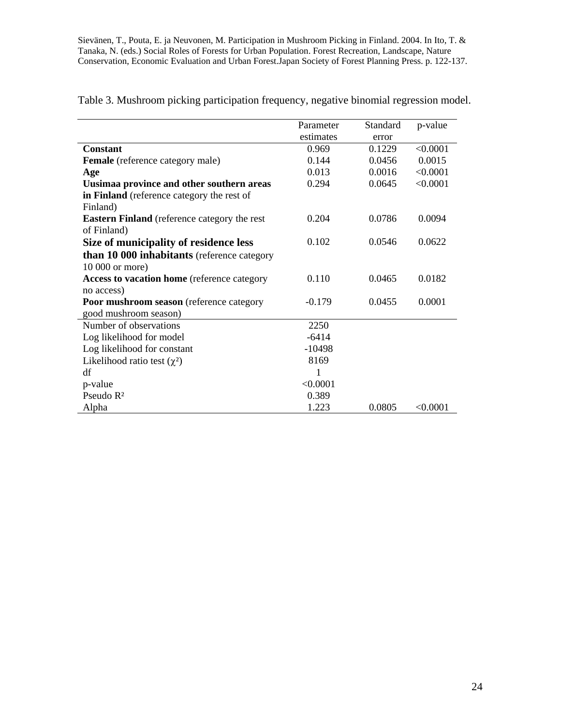|                                                     | Parameter | Standard | p-value  |
|-----------------------------------------------------|-----------|----------|----------|
|                                                     | estimates | error    |          |
| <b>Constant</b>                                     | 0.969     | 0.1229   | < 0.0001 |
| <b>Female</b> (reference category male)             | 0.144     | 0.0456   | 0.0015   |
| Age                                                 | 0.013     | 0.0016   | < 0.0001 |
| Uusimaa province and other southern areas           | 0.294     | 0.0645   | < 0.0001 |
| in Finland (reference category the rest of          |           |          |          |
| Finland)                                            |           |          |          |
| <b>Eastern Finland</b> (reference category the rest | 0.204     | 0.0786   | 0.0094   |
| of Finland)                                         |           |          |          |
| Size of municipality of residence less              | 0.102     | 0.0546   | 0.0622   |
| <b>than 10 000 inhabitants</b> (reference category  |           |          |          |
| 10 000 or more)                                     |           |          |          |
| Access to vacation home (reference category         | 0.110     | 0.0465   | 0.0182   |
| no access)                                          |           |          |          |
| Poor mushroom season (reference category            | $-0.179$  | 0.0455   | 0.0001   |
| good mushroom season)                               |           |          |          |
| Number of observations                              | 2250      |          |          |
| Log likelihood for model                            | $-6414$   |          |          |
| Log likelihood for constant                         | $-10498$  |          |          |
| Likelihood ratio test $(\chi^2)$                    | 8169      |          |          |
| df                                                  | 1         |          |          |
| p-value                                             | < 0.0001  |          |          |
| Pseudo R <sup>2</sup>                               | 0.389     |          |          |
| Alpha                                               | 1.223     | 0.0805   | < 0.0001 |

Table 3. Mushroom picking participation frequency, negative binomial regression model.